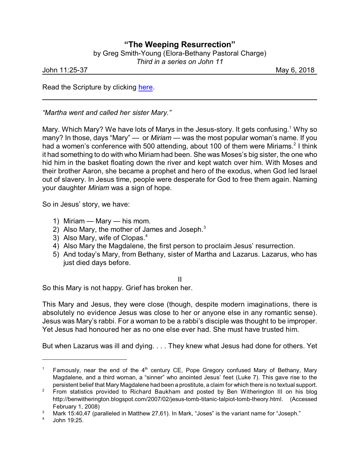## **"The Weeping Resurrection"**

by Greg Smith-Young (Elora-Bethany Pastoral Charge)

*Third in a series on John 11*

John 11:25-37 May 6, 2018

Read the Scripture by clicking [here](https://www.biblegateway.com/passage/?search=John+11%3A23-37&version=NIV).

*"Martha went and called her sister Mary."*

Mary. Which Mary? We have lots of Marys in the Jesus-story. It gets confusing.<sup>1</sup> Why so many? In those, days "Mary" — or *Miriam* — was the most popular woman's name. If you had a women's conference with 500 attending, about 100 of them were Miriams.<sup>2</sup> I think it had something to do with who Miriam had been. She was Moses's big sister, the one who hid him in the basket floating down the river and kept watch over him. With Moses and their brother Aaron, she became a prophet and hero of the exodus, when God led Israel out of slavery. In Jesus time, people were desperate for God to free them again. Naming your daughter *Miriam* was a sign of hope.

So in Jesus' story, we have:

- 1) Miriam Mary his mom.
- 2) Also Mary, the mother of James and Joseph. $3$
- 3) Also Mary, wife of Clopas. $4$
- 4) Also Mary the Magdalene, the first person to proclaim Jesus' resurrection.
- 5) And today's Mary, from Bethany, sister of Martha and Lazarus. Lazarus, who has just died days before.

II

So this Mary is not happy. Grief has broken her.

This Mary and Jesus, they were close (though, despite modern imaginations, there is absolutely no evidence Jesus was close to her or anyone else in any romantic sense). Jesus was Mary's rabbi. For a woman to be a rabbi's disciple was thought to be improper. Yet Jesus had honoured her as no one else ever had. She must have trusted him.

But when Lazarus was ill and dying. . . . They knew what Jesus had done for others. Yet

<sup>&</sup>lt;sup>1</sup> Famously, near the end of the  $4<sup>th</sup>$  century CE, Pope Gregory confused Mary of Bethany, Mary Magdalene, and a third woman, a "sinner" who anointed Jesus' feet (Luke 7). This gave rise to the persistent belief that Mary Magdalene had been a prostitute, a claim for which there is no textual support.

 $2$  From statistics provided to Richard Baukham and posted by Ben Witherington III on his blog http://benwitherington.blogspot.com/2007/02/jesus-tomb-titanic-talpiot-tomb-theory.html. (Accessed February 1, 2008)

Mark 15:40,47 (paralleled in Matthew 27,61). In Mark, "Joses" is the variant name for "Joseph."

<sup>4</sup> John 19:25.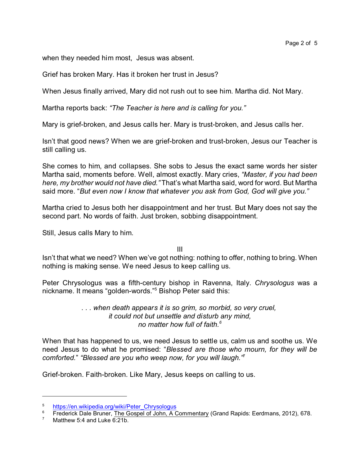when they needed him most, Jesus was absent.

Grief has broken Mary. Has it broken her trust in Jesus?

When Jesus finally arrived, Mary did not rush out to see him. Martha did. Not Mary.

Martha reports back: *"The Teacher is here and is calling for you."*

Mary is grief-broken, and Jesus calls her. Mary is trust-broken, and Jesus calls her.

Isn't that good news? When we are grief-broken and trust-broken, Jesus our Teacher is still calling us.

She comes to him, and collapses. She sobs to Jesus the exact same words her sister Martha said, moments before. Well, almost exactly. Mary cries, *"Master, if you had been here, my brother would not have died."* That's what Martha said, word for word. But Martha said more. "*But even now I know that whatever you ask from God, God will give you."*

Martha cried to Jesus both her disappointment and her trust. But Mary does not say the second part. No words of faith. Just broken, sobbing disappointment.

Still, Jesus calls Mary to him.

III

Isn't that what we need? When we've got nothing: nothing to offer, nothing to bring. When nothing is making sense. We need Jesus to keep calling us.

Peter Chrysologus was a fifth-century bishop in Ravenna, Italy. *Chrysologus* was a nickname. It means "golden-words."<sup>5</sup> Bishop Peter said this:

> *. . . when death appears it is so grim, so morbid, so very cruel, it could not but unsettle and disturb any mind, no matter how full of faith.<sup>6</sup>*

When that has happened to us, we need Jesus to settle us, calm us and soothe us. We need Jesus to do what he promised: "*Blessed are those who mourn, for they will be comforted.*" *"Blessed are you who weep now, for you will laugh."*<sup>7</sup>

Grief-broken. Faith-broken. Like Mary, Jesus keeps on calling to us.

<sup>&</sup>lt;sup>5</sup> [https://en.wikipedia.org/wiki/Peter\\_Chrysologus](https://en.wikipedia.org/wiki/Peter_Chrysologus)<br><sup>6</sup> Exaderial: Date Primery The Coanal of Jaba, A.C

<sup>&</sup>lt;sup>6</sup> Frederick Dale Bruner, The Gospel of John, A Commentary (Grand Rapids: Eerdmans, 2012), 678.

Matthew 5:4 and Luke 6:21b.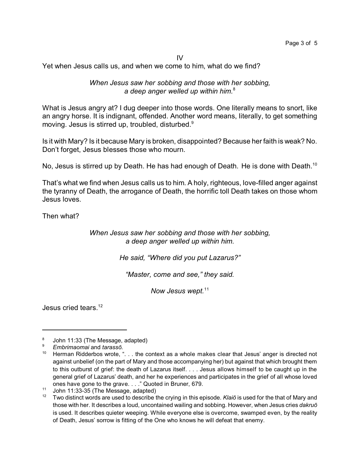IV

Yet when Jesus calls us, and when we come to him, what do we find?

*When Jesus saw her sobbing and those with her sobbing, a deep anger welled up within him.* 8

What is Jesus angry at? I dug deeper into those words. One literally means to snort, like an angry horse. It is indignant, offended. Another word means, literally, to get something moving. Jesus is stirred up, troubled, disturbed.<sup>9</sup>

Is it with Mary? Is it because Mary is broken, disappointed? Because her faith is weak? No. Don't forget, Jesus blesses those who mourn.

No, Jesus is stirred up by Death. He has had enough of Death. He is done with Death.<sup>10</sup>

That's what we find when Jesus calls us to him. A holy, righteous, love-filled anger against the tyranny of Death, the arrogance of Death, the horrific toll Death takes on those whom Jesus loves.

Then what?

*When Jesus saw her sobbing and those with her sobbing, a deep anger welled up within him.*

*He said, "Where did you put Lazarus?"*

*"Master, come and see," they said.*

*Now Jesus wept.*<sup>11</sup>

Jesus cried tears.<sup>12</sup>

<sup>8</sup> John 11:33 (The Message, adapted)

<sup>9</sup> *Embrimaomai* and *tarassô.*

<sup>&</sup>lt;sup>10</sup> Herman Ridderbos wrote, ". . . the context as a whole makes clear that Jesus' anger is directed not against unbelief (on the part of Mary and those accompanying her) but against that which brought them to this outburst of grief: the death of Lazarus itself. . . . Jesus allows himself to be caught up in the general grief of Lazarus' death, and her he experiences and participates in the grief of all whose loved ones have gone to the grave. . . ." Quoted in Bruner, 679.

 $11$  John 11:33-35 (The Message, adapted)

<sup>12</sup> Two distinct words are used to describe the crying in this episode. *Klaiô* is used for the that of Mary and those with her. It describes a loud, uncontained wailing and sobbing. However, when Jesus cries *dakruô* is used. It describes quieter weeping. While everyone else is overcome, swamped even, by the reality of Death, Jesus' sorrow is fitting of the One who knows he will defeat that enemy.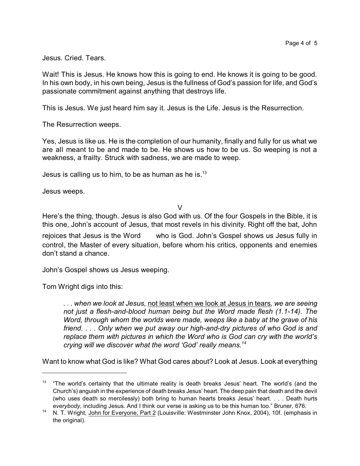Jesus. Cried. Tears.

Wait! This is Jesus. He knows how this is going to end. He knows it is going to be good. In his own body, in his own being, Jesus is the fullness of God's passion for life, and God's passionate commitment against anything that destroys life.

This is Jesus. We just heard him say it. Jesus is the Life. Jesus is the Resurrection.

The Resurrection weeps.

Yes, Jesus is like us. He is the completion of our humanity, finally and fully for us what we are all meant to be and made to be. He shows us how to be us. So weeping is not a weakness, a frailty. Struck with sadness, we are made to weep.

Jesus is calling us to him, to be as human as he is. $13$ 

Jesus weeps.

 $\overline{V}$ 

Here's the thing, though. Jesus is also God with us. Of the four Gospels in the Bible, it is this one, John's account of Jesus, that most revels in his divinity. Right off the bat, John

rejoices that Jesus is the Word who is God. John's Gospel shows us Jesus fully in control, the Master of every situation, before whom his critics, opponents and enemies don't stand a chance.

John's Gospel shows us Jesus weeping.

Tom Wright digs into this:

*. . . when we look at Jesus,* not least when we look at Jesus in tears*, we are seeing not just a flesh-and-blood human being but the Word made flesh (1.1-14). The Word, through whom the worlds were made, weeps like a baby at the grave of his friend. . . . Only when we put away our high-and-dry pictures of who God is and replace them with pictures in which the Word who is God can cry with the world's crying will we discover what the word 'God' really means.<sup>14</sup>*

Want to know what God is like? What God cares about? Look at Jesus. Look at everything

 $13$  "The world's certainty that the ultimate reality is death breaks Jesus' heart. The world's (and the Church's) anguish in the experience of death breaks Jesus' heart. The deep pain that death and the devil (who uses death so mercilessly) both bring to human hearts breaks Jesus' heart. . . . Death hurts *everybody*, including Jesus. And I think our verse is asking us to be this human too." Bruner, 676.

<sup>14</sup> N. T. Wright, John for Everyone, Part 2 (Louisville: Westminster John Knox, 2004), 10f. (emphasis in the original).